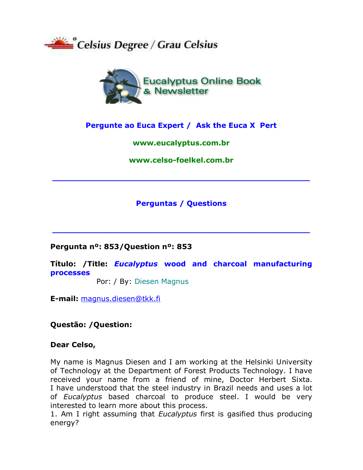



# Pergunte ao Euca Expert / Ask the Euca X Pert

## www.eucalyptus.com.br

www.celso-foelkel.com.br

# **Perguntas / Questions**

Pergunta nº: 853/Question nº: 853

Título: /Title: *Eucalyptus* wood and charcoal manufacturing **processes** 

Por: / By: Diesen Magnus

**E-mail: magnus.diesen@tkk.fi** 

Questão: /Question:

## Dear Celso,

My name is Magnus Diesen and I am working at the Helsinki University of Technology at the Department of Forest Products Technology. I have received your name from a friend of mine, Doctor Herbert Sixta. I have understood that the steel industry in Brazil needs and uses a lot of Eucalyptus based charcoal to produce steel. I would be very interested to learn more about this process.

1. Am I right assuming that *Eucalyptus* first is gasified thus producing energy?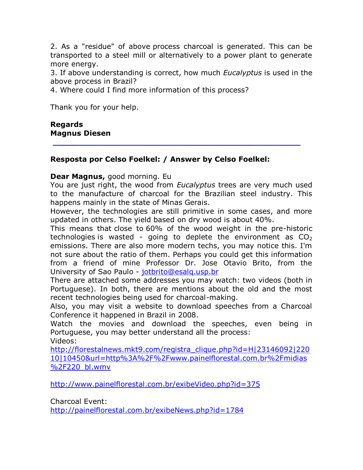2. As a "residue" of above process charcoal is generated. This can be transported to a steel mill or alternatively to a power plant to generate more energy.

3. If above understanding is correct, how much *Eucalyptus* is used in the above process in Brazil?

4. Where could I find more information of this process?

Thank you for your help.

#### **Regards Magnus Diesen**

## **Resposta por Celso Foelkel: / Answer by Celso Foelkel:**

#### **Dear Magnus,** good morning. Eu

You are just right, the wood from *Eucalyptus* trees are very much used to the manufacture of charcoal for the Brazilian steel industry. This happens mainly in the state of Minas Gerais.

**\_\_\_\_\_\_\_\_\_\_\_\_\_\_\_\_\_\_\_\_\_\_\_\_\_\_\_\_\_\_\_\_\_\_\_\_\_\_\_\_\_\_\_\_\_\_\_\_\_**

However, the technologies are still primitive in some cases, and more updated in others. The yield based on dry wood is about 40%.

This means that close to 60% of the wood weight in the pre-historic technologies is wasted - going to deplete the environment as  $CO<sub>2</sub>$ emissions. There are also more modern techs, you may notice this. I'm not sure about the ratio of them. Perhaps you could get this information from a friend of mine Professor Dr. Jose Otavio Brito, from the University of Sao Paulo - [jotbrito@esalq.usp.br](mailto:jotbrito@esalq.usp.br)

There are attached some addresses you may watch: two videos (both in Portuguese). In both, there are mentions about the old and the most recent technologies being used for charcoal-making.

Also, you may visit a website to download speeches from a Charcoal Conference it happened in Brazil in 2008.

Watch the movies and download the speeches, even being in Portuguese, you may better understand all the process: Videos:

[http://florestalnews.mkt9.com/registra\\_clique.php?id=H|23146092|220](http://florestalnews.mkt9.com/registra_clique.php?id=H|23146092|22010|10450&url=http%3A%2F%2Fwww.painelflorestal.com.br%2Fmidias%2F220_bl.wmv) [10|10450&url=http%3A%2F%2Fwww.painelflorestal.com.br%2Fmidias](http://florestalnews.mkt9.com/registra_clique.php?id=H|23146092|22010|10450&url=http%3A%2F%2Fwww.painelflorestal.com.br%2Fmidias%2F220_bl.wmv) %2F220 bl.wmv

<http://www.painelflorestal.com.br/exibeVideo.php?id=375>

Charcoal Event:

<http://painelflorestal.com.br/exibeNews.php?id=1784>